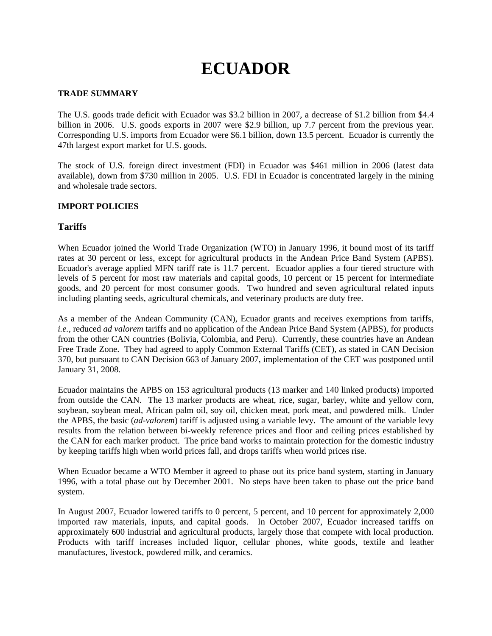# **ECUADOR**

## **TRADE SUMMARY**

The U.S. goods trade deficit with Ecuador was \$3.2 billion in 2007, a decrease of \$1.2 billion from \$4.4 billion in 2006. U.S. goods exports in 2007 were \$2.9 billion, up 7.7 percent from the previous year. Corresponding U.S. imports from Ecuador were \$6.1 billion, down 13.5 percent. Ecuador is currently the 47th largest export market for U.S. goods.

The stock of U.S. foreign direct investment (FDI) in Ecuador was \$461 million in 2006 (latest data available), down from \$730 million in 2005. U.S. FDI in Ecuador is concentrated largely in the mining and wholesale trade sectors.

# **IMPORT POLICIES**

# **Tariffs**

When Ecuador joined the World Trade Organization (WTO) in January 1996, it bound most of its tariff rates at 30 percent or less, except for agricultural products in the Andean Price Band System (APBS). Ecuador's average applied MFN tariff rate is 11.7 percent. Ecuador applies a four tiered structure with levels of 5 percent for most raw materials and capital goods, 10 percent or 15 percent for intermediate goods, and 20 percent for most consumer goods. Two hundred and seven agricultural related inputs including planting seeds, agricultural chemicals, and veterinary products are duty free.

As a member of the Andean Community (CAN), Ecuador grants and receives exemptions from tariffs, *i.e.*, reduced *ad valorem* tariffs and no application of the Andean Price Band System (APBS), for products from the other CAN countries (Bolivia, Colombia, and Peru). Currently, these countries have an Andean Free Trade Zone. They had agreed to apply Common External Tariffs (CET), as stated in CAN Decision 370, but pursuant to CAN Decision 663 of January 2007, implementation of the CET was postponed until January 31, 2008.

Ecuador maintains the APBS on 153 agricultural products (13 marker and 140 linked products) imported from outside the CAN. The 13 marker products are wheat, rice, sugar, barley, white and yellow corn, soybean, soybean meal, African palm oil, soy oil, chicken meat, pork meat, and powdered milk. Under the APBS, the basic (*ad-valorem*) tariff is adjusted using a variable levy. The amount of the variable levy results from the relation between bi-weekly reference prices and floor and ceiling prices established by the CAN for each marker product. The price band works to maintain protection for the domestic industry by keeping tariffs high when world prices fall, and drops tariffs when world prices rise.

When Ecuador became a WTO Member it agreed to phase out its price band system, starting in January 1996, with a total phase out by December 2001. No steps have been taken to phase out the price band system.

In August 2007, Ecuador lowered tariffs to 0 percent, 5 percent, and 10 percent for approximately 2,000 imported raw materials, inputs, and capital goods. In October 2007, Ecuador increased tariffs on approximately 600 industrial and agricultural products, largely those that compete with local production. Products with tariff increases included liquor, cellular phones, white goods, textile and leather manufactures, livestock, powdered milk, and ceramics.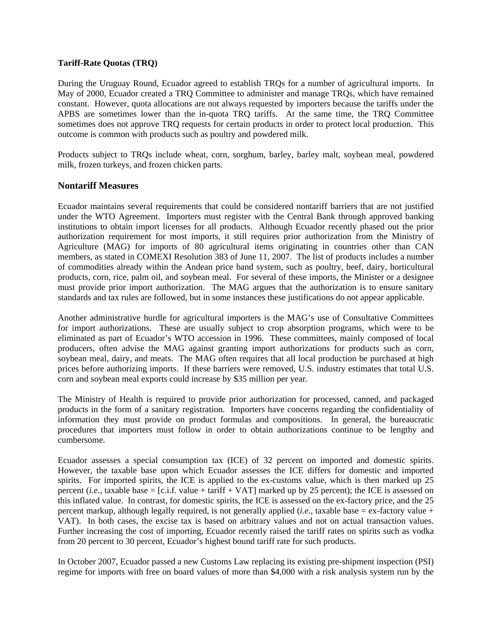#### **Tariff-Rate Quotas (TRQ)**

During the Uruguay Round, Ecuador agreed to establish TRQs for a number of agricultural imports. In May of 2000, Ecuador created a TRQ Committee to administer and manage TRQs, which have remained constant. However, quota allocations are not always requested by importers because the tariffs under the APBS are sometimes lower than the in-quota TRQ tariffs. At the same time, the TRQ Committee sometimes does not approve TRQ requests for certain products in order to protect local production. This outcome is common with products such as poultry and powdered milk.

Products subject to TRQs include wheat, corn, sorghum, barley, barley malt, soybean meal, powdered milk, frozen turkeys, and frozen chicken parts.

# **Nontariff Measures**

Ecuador maintains several requirements that could be considered nontariff barriers that are not justified under the WTO Agreement. Importers must register with the Central Bank through approved banking institutions to obtain import licenses for all products. Although Ecuador recently phased out the prior authorization requirement for most imports, it still requires prior authorization from the Ministry of Agriculture (MAG) for imports of 80 agricultural items originating in countries other than CAN members, as stated in COMEXI Resolution 383 of June 11, 2007. The list of products includes a number of commodities already within the Andean price band system, such as poultry, beef, dairy, horticultural products, corn, rice, palm oil, and soybean meal. For several of these imports, the Minister or a designee must provide prior import authorization. The MAG argues that the authorization is to ensure sanitary standards and tax rules are followed, but in some instances these justifications do not appear applicable.

Another administrative hurdle for agricultural importers is the MAG's use of Consultative Committees for import authorizations. These are usually subject to crop absorption programs, which were to be eliminated as part of Ecuador's WTO accession in 1996. These committees, mainly composed of local producers, often advise the MAG against granting import authorizations for products such as corn, soybean meal, dairy, and meats. The MAG often requires that all local production be purchased at high prices before authorizing imports. If these barriers were removed, U.S. industry estimates that total U.S. corn and soybean meal exports could increase by \$35 million per year.

The Ministry of Health is required to provide prior authorization for processed, canned, and packaged products in the form of a sanitary registration. Importers have concerns regarding the confidentiality of information they must provide on product formulas and compositions. In general, the bureaucratic procedures that importers must follow in order to obtain authorizations continue to be lengthy and cumbersome.

Ecuador assesses a special consumption tax (ICE) of 32 percent on imported and domestic spirits. However, the taxable base upon which Ecuador assesses the ICE differs for domestic and imported spirits. For imported spirits, the ICE is applied to the ex-customs value, which is then marked up 25 percent (*i.e.*, taxable base = [c.i.f. value + tariff + VAT] marked up by 25 percent); the ICE is assessed on this inflated value. In contrast, for domestic spirits, the ICE is assessed on the ex-factory price, and the 25 percent markup, although legally required, is not generally applied (*i.e.*, taxable base = ex-factory value + VAT). In both cases, the excise tax is based on arbitrary values and not on actual transaction values. Further increasing the cost of importing, Ecuador recently raised the tariff rates on spirits such as vodka from 20 percent to 30 percent, Ecuador's highest bound tariff rate for such products.

In October 2007, Ecuador passed a new Customs Law replacing its existing pre-shipment inspection (PSI) regime for imports with free on board values of more than \$4,000 with a risk analysis system run by the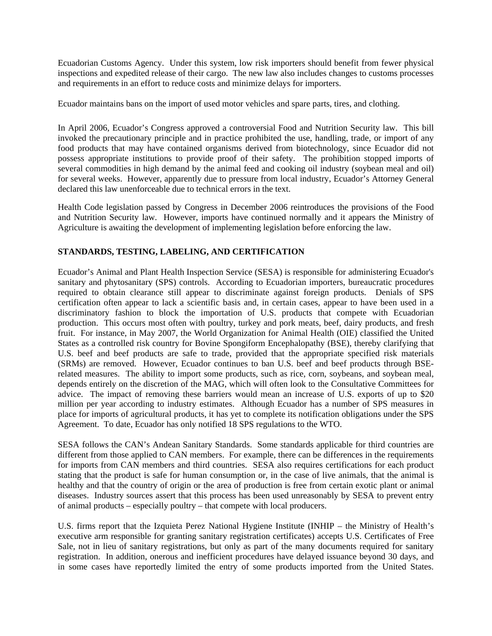Ecuadorian Customs Agency. Under this system, low risk importers should benefit from fewer physical inspections and expedited release of their cargo. The new law also includes changes to customs processes and requirements in an effort to reduce costs and minimize delays for importers.

Ecuador maintains bans on the import of used motor vehicles and spare parts, tires, and clothing.

In April 2006, Ecuador's Congress approved a controversial Food and Nutrition Security law. This bill invoked the precautionary principle and in practice prohibited the use, handling, trade, or import of any food products that may have contained organisms derived from biotechnology, since Ecuador did not possess appropriate institutions to provide proof of their safety. The prohibition stopped imports of several commodities in high demand by the animal feed and cooking oil industry (soybean meal and oil) for several weeks. However, apparently due to pressure from local industry, Ecuador's Attorney General declared this law unenforceable due to technical errors in the text.

Health Code legislation passed by Congress in December 2006 reintroduces the provisions of the Food and Nutrition Security law. However, imports have continued normally and it appears the Ministry of Agriculture is awaiting the development of implementing legislation before enforcing the law.

# **STANDARDS, TESTING, LABELING, AND CERTIFICATION**

Ecuador's Animal and Plant Health Inspection Service (SESA) is responsible for administering Ecuador's sanitary and phytosanitary (SPS) controls. According to Ecuadorian importers, bureaucratic procedures required to obtain clearance still appear to discriminate against foreign products. Denials of SPS certification often appear to lack a scientific basis and, in certain cases, appear to have been used in a discriminatory fashion to block the importation of U.S. products that compete with Ecuadorian production. This occurs most often with poultry, turkey and pork meats, beef, dairy products, and fresh fruit. For instance, in May 2007, the World Organization for Animal Health (OIE) classified the United States as a controlled risk country for Bovine Spongiform Encephalopathy (BSE), thereby clarifying that U.S. beef and beef products are safe to trade, provided that the appropriate specified risk materials (SRMs) are removed. However, Ecuador continues to ban U.S. beef and beef products through BSErelated measures. The ability to import some products, such as rice, corn, soybeans, and soybean meal, depends entirely on the discretion of the MAG, which will often look to the Consultative Committees for advice. The impact of removing these barriers would mean an increase of U.S. exports of up to \$20 million per year according to industry estimates. Although Ecuador has a number of SPS measures in place for imports of agricultural products, it has yet to complete its notification obligations under the SPS Agreement. To date, Ecuador has only notified 18 SPS regulations to the WTO.

SESA follows the CAN's Andean Sanitary Standards. Some standards applicable for third countries are different from those applied to CAN members. For example, there can be differences in the requirements for imports from CAN members and third countries. SESA also requires certifications for each product stating that the product is safe for human consumption or, in the case of live animals, that the animal is healthy and that the country of origin or the area of production is free from certain exotic plant or animal diseases. Industry sources assert that this process has been used unreasonably by SESA to prevent entry of animal products – especially poultry – that compete with local producers.

U.S. firms report that the Izquieta Perez National Hygiene Institute (INHIP – the Ministry of Health's executive arm responsible for granting sanitary registration certificates) accepts U.S. Certificates of Free Sale, not in lieu of sanitary registrations, but only as part of the many documents required for sanitary registration. In addition, onerous and inefficient procedures have delayed issuance beyond 30 days, and in some cases have reportedly limited the entry of some products imported from the United States.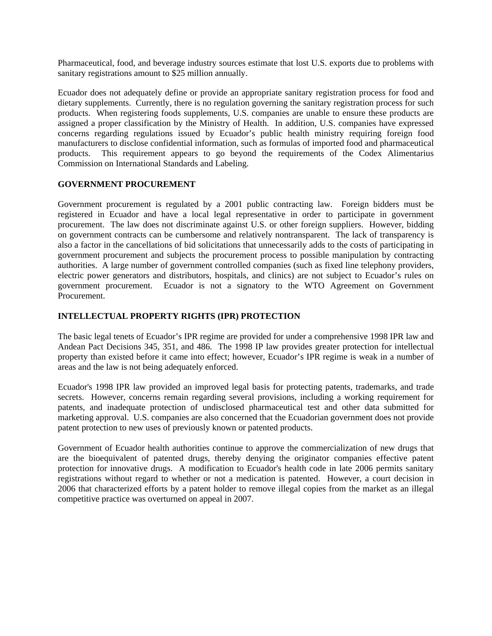Pharmaceutical, food, and beverage industry sources estimate that lost U.S. exports due to problems with sanitary registrations amount to \$25 million annually.

Ecuador does not adequately define or provide an appropriate sanitary registration process for food and dietary supplements. Currently, there is no regulation governing the sanitary registration process for such products. When registering foods supplements, U.S. companies are unable to ensure these products are assigned a proper classification by the Ministry of Health. In addition, U.S. companies have expressed concerns regarding regulations issued by Ecuador's public health ministry requiring foreign food manufacturers to disclose confidential information, such as formulas of imported food and pharmaceutical products. This requirement appears to go beyond the requirements of the Codex Alimentarius Commission on International Standards and Labeling.

## **GOVERNMENT PROCUREMENT**

Government procurement is regulated by a 2001 public contracting law. Foreign bidders must be registered in Ecuador and have a local legal representative in order to participate in government procurement. The law does not discriminate against U.S. or other foreign suppliers. However, bidding on government contracts can be cumbersome and relatively nontransparent. The lack of transparency is also a factor in the cancellations of bid solicitations that unnecessarily adds to the costs of participating in government procurement and subjects the procurement process to possible manipulation by contracting authorities.A large number of government controlled companies (such as fixed line telephony providers, electric power generators and distributors, hospitals, and clinics) are not subject to Ecuador's rules on government procurement. Ecuador is not a signatory to the WTO Agreement on Government Procurement.

## **INTELLECTUAL PROPERTY RIGHTS (IPR) PROTECTION**

The basic legal tenets of Ecuador's IPR regime are provided for under a comprehensive 1998 IPR law and Andean Pact Decisions 345, 351, and 486. The 1998 IP law provides greater protection for intellectual property than existed before it came into effect; however, Ecuador's IPR regime is weak in a number of areas and the law is not being adequately enforced.

Ecuador's 1998 IPR law provided an improved legal basis for protecting patents, trademarks, and trade secrets. However, concerns remain regarding several provisions, including a working requirement for patents, and inadequate protection of undisclosed pharmaceutical test and other data submitted for marketing approval. U.S. companies are also concerned that the Ecuadorian government does not provide patent protection to new uses of previously known or patented products.

Government of Ecuador health authorities continue to approve the commercialization of new drugs that are the bioequivalent of patented drugs, thereby denying the originator companies effective patent protection for innovative drugs. A modification to Ecuador's health code in late 2006 permits sanitary registrations without regard to whether or not a medication is patented. However, a court decision in 2006 that characterized efforts by a patent holder to remove illegal copies from the market as an illegal competitive practice was overturned on appeal in 2007.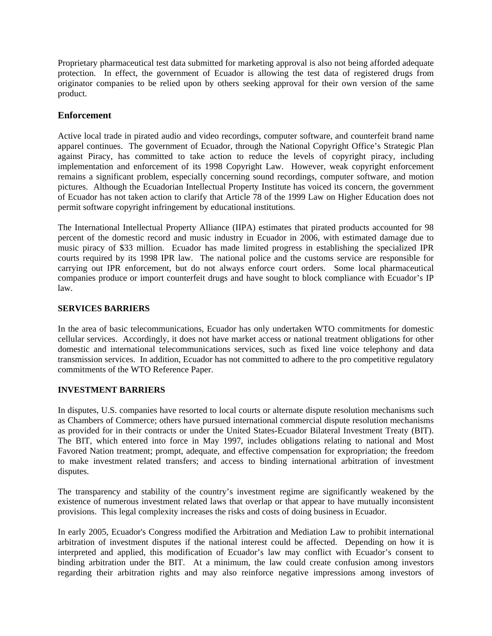Proprietary pharmaceutical test data submitted for marketing approval is also not being afforded adequate protection. In effect, the government of Ecuador is allowing the test data of registered drugs from originator companies to be relied upon by others seeking approval for their own version of the same product.

# **Enforcement**

Active local trade in pirated audio and video recordings, computer software, and counterfeit brand name apparel continues. The government of Ecuador, through the National Copyright Office's Strategic Plan against Piracy, has committed to take action to reduce the levels of copyright piracy, including implementation and enforcement of its 1998 Copyright Law. However, weak copyright enforcement remains a significant problem, especially concerning sound recordings, computer software, and motion pictures. Although the Ecuadorian Intellectual Property Institute has voiced its concern, the government of Ecuador has not taken action to clarify that Article 78 of the 1999 Law on Higher Education does not permit software copyright infringement by educational institutions.

The International Intellectual Property Alliance (IIPA) estimates that pirated products accounted for 98 percent of the domestic record and music industry in Ecuador in 2006, with estimated damage due to music piracy of \$33 million. Ecuador has made limited progress in establishing the specialized IPR courts required by its 1998 IPR law. The national police and the customs service are responsible for carrying out IPR enforcement, but do not always enforce court orders. Some local pharmaceutical companies produce or import counterfeit drugs and have sought to block compliance with Ecuador's IP law.

## **SERVICES BARRIERS**

In the area of basic telecommunications, Ecuador has only undertaken WTO commitments for domestic cellular services. Accordingly, it does not have market access or national treatment obligations for other domestic and international telecommunications services, such as fixed line voice telephony and data transmission services. In addition, Ecuador has not committed to adhere to the pro competitive regulatory commitments of the WTO Reference Paper.

## **INVESTMENT BARRIERS**

In disputes, U.S. companies have resorted to local courts or alternate dispute resolution mechanisms such as Chambers of Commerce; others have pursued international commercial dispute resolution mechanisms as provided for in their contracts or under the United States-Ecuador Bilateral Investment Treaty (BIT). The BIT, which entered into force in May 1997, includes obligations relating to national and Most Favored Nation treatment; prompt, adequate, and effective compensation for expropriation; the freedom to make investment related transfers; and access to binding international arbitration of investment disputes.

The transparency and stability of the country's investment regime are significantly weakened by the existence of numerous investment related laws that overlap or that appear to have mutually inconsistent provisions. This legal complexity increases the risks and costs of doing business in Ecuador.

In early 2005, Ecuador's Congress modified the Arbitration and Mediation Law to prohibit international arbitration of investment disputes if the national interest could be affected. Depending on how it is interpreted and applied, this modification of Ecuador's law may conflict with Ecuador's consent to binding arbitration under the BIT. At a minimum, the law could create confusion among investors regarding their arbitration rights and may also reinforce negative impressions among investors of